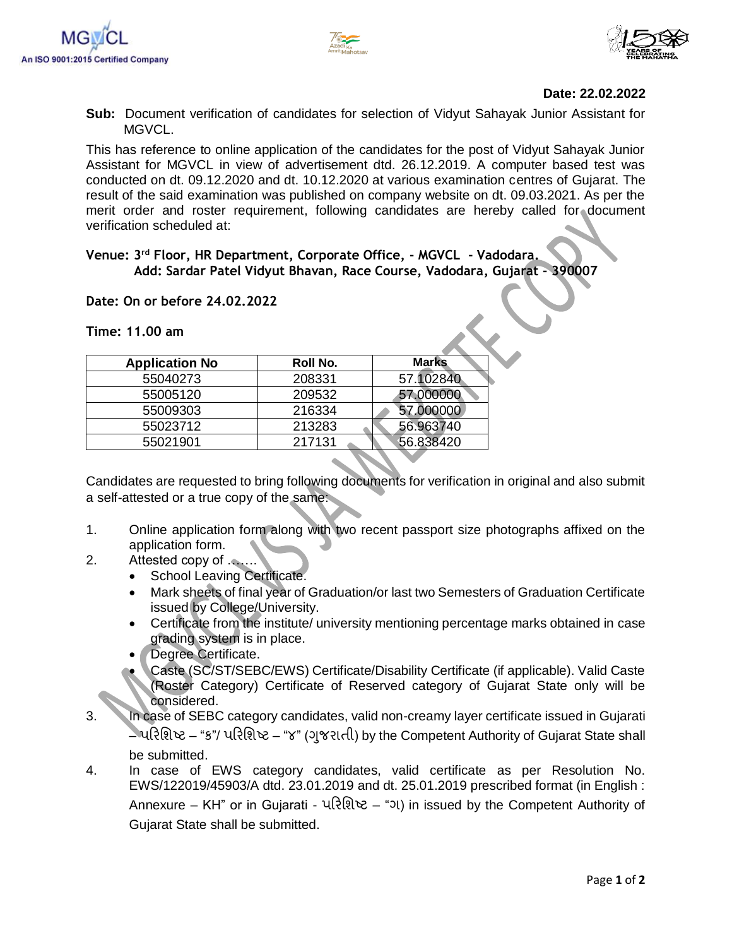



## **Date: 22.02.2022**

**Sub:** Document verification of candidates for selection of Vidyut Sahayak Junior Assistant for MGVCL.

This has reference to online application of the candidates for the post of Vidyut Sahayak Junior Assistant for MGVCL in view of advertisement dtd. 26.12.2019. A computer based test was conducted on dt. 09.12.2020 and dt. 10.12.2020 at various examination centres of Gujarat. The result of the said examination was published on company website on dt. 09.03.2021. As per the merit order and roster requirement, following candidates are hereby called for document verification scheduled at:

## **Venue: 3 rd Floor, HR Department, Corporate Office, - MGVCL - Vadodara. Add: Sardar Patel Vidyut Bhavan, Race Course, Vadodara, Gujarat - 390007**

## **Date: On or before 24.02.2022**

**Time: 11.00 am**

| Roll No. | <b>Marks</b> |
|----------|--------------|
| 208331   | 57.102840    |
| 209532   | 57.000000    |
| 216334   | 57.000000    |
| 213283   | 56.963740    |
| 217131   | 56.838420    |
|          |              |

Candidates are requested to bring following documents for verification in original and also submit a self-attested or a true copy of the same:

- 1. Online application form along with two recent passport size photographs affixed on the application form.
- 2. Attested copy of …….
	- School Leaving Certificate.
	- Mark sheets of final year of Graduation/or last two Semesters of Graduation Certificate issued by College/University.
	- Certificate from the institute/ university mentioning percentage marks obtained in case grading system is in place.
	- Degree Certificate.
	- Caste (SC/ST/SEBC/EWS) Certificate/Disability Certificate (if applicable). Valid Caste (Roster Category) Certificate of Reserved category of Gujarat State only will be considered.
- 3. In case of SEBC category candidates, valid non-creamy layer certificate issued in Gujarati – પરિશિષ્ટ – "ક"/ પરિશિષ્ટ – "૪" (ગજુ િાતી) by the Competent Authority of Gujarat State shall be submitted.
- 4. In case of EWS category candidates, valid certificate as per Resolution No. EWS/122019/45903/A dtd. 23.01.2019 and dt. 25.01.2019 prescribed format (in English : Annexure – KH" or in Gujarati - પરિશિષ્ટ – "ગ) in issued by the Competent Authority of Gujarat State shall be submitted.